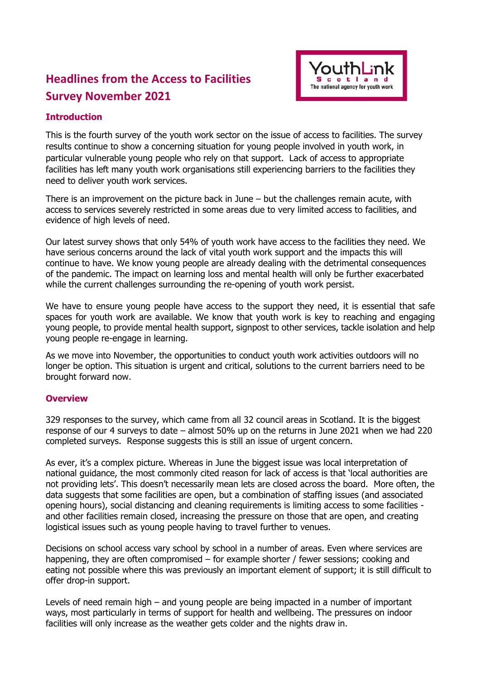# **Headlines from the Access to Facilities Survey November 2021**



# **Introduction**

This is the fourth survey of the youth work sector on the issue of access to facilities. The survey results continue to show a concerning situation for young people involved in youth work, in particular vulnerable young people who rely on that support. Lack of access to appropriate facilities has left many youth work organisations still experiencing barriers to the facilities they need to deliver youth work services.

There is an improvement on the picture back in June – but the challenges remain acute, with access to services severely restricted in some areas due to very limited access to facilities, and evidence of high levels of need.

Our latest survey shows that only 54% of youth work have access to the facilities they need. We have serious concerns around the lack of vital youth work support and the impacts this will continue to have. We know young people are already dealing with the detrimental consequences of the pandemic. The impact on learning loss and mental health will only be further exacerbated while the current challenges surrounding the re-opening of youth work persist.

We have to ensure young people have access to the support they need, it is essential that safe spaces for youth work are available. We know that youth work is key to reaching and engaging young people, to provide mental health support, signpost to other services, tackle isolation and help young people re-engage in learning.

As we move into November, the opportunities to conduct youth work activities outdoors will no longer be option. This situation is urgent and critical, solutions to the current barriers need to be brought forward now.

## **Overview**

329 responses to the survey, which came from all 32 council areas in Scotland. It is the biggest response of our 4 surveys to date – almost 50% up on the returns in June 2021 when we had 220 completed surveys. Response suggests this is still an issue of urgent concern.

As ever, it's a complex picture. Whereas in June the biggest issue was local interpretation of national guidance, the most commonly cited reason for lack of access is that 'local authorities are not providing lets'. This doesn't necessarily mean lets are closed across the board. More often, the data suggests that some facilities are open, but a combination of staffing issues (and associated opening hours), social distancing and cleaning requirements is limiting access to some facilities and other facilities remain closed, increasing the pressure on those that are open, and creating logistical issues such as young people having to travel further to venues.

Decisions on school access vary school by school in a number of areas. Even where services are happening, they are often compromised – for example shorter / fewer sessions; cooking and eating not possible where this was previously an important element of support; it is still difficult to offer drop-in support.

Levels of need remain high – and young people are being impacted in a number of important ways, most particularly in terms of support for health and wellbeing. The pressures on indoor facilities will only increase as the weather gets colder and the nights draw in.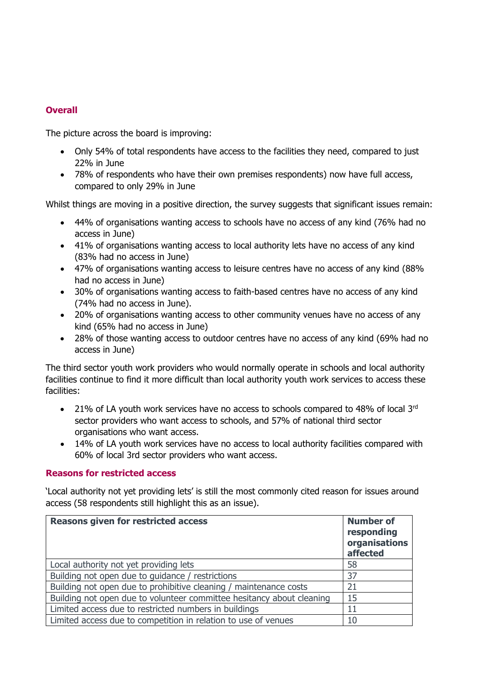# **Overall**

The picture across the board is improving:

- Only 54% of total respondents have access to the facilities they need, compared to just 22% in June
- 78% of respondents who have their own premises respondents) now have full access, compared to only 29% in June

Whilst things are moving in a positive direction, the survey suggests that significant issues remain:

- 44% of organisations wanting access to schools have no access of any kind (76% had no access in June)
- 41% of organisations wanting access to local authority lets have no access of any kind (83% had no access in June)
- 47% of organisations wanting access to leisure centres have no access of any kind (88% had no access in June)
- 30% of organisations wanting access to faith-based centres have no access of any kind (74% had no access in June).
- 20% of organisations wanting access to other community venues have no access of any kind (65% had no access in June)
- 28% of those wanting access to outdoor centres have no access of any kind (69% had no access in June)

The third sector youth work providers who would normally operate in schools and local authority facilities continue to find it more difficult than local authority youth work services to access these facilities:

- 21% of LA youth work services have no access to schools compared to 48% of local  $3<sup>rd</sup>$ sector providers who want access to schools, and 57% of national third sector organisations who want access.
- 14% of LA youth work services have no access to local authority facilities compared with 60% of local 3rd sector providers who want access.

## **Reasons for restricted access**

'Local authority not yet providing lets' is still the most commonly cited reason for issues around access (58 respondents still highlight this as an issue).

| <b>Reasons given for restricted access</b>                            | <b>Number of</b><br>responding<br>organisations<br>affected |
|-----------------------------------------------------------------------|-------------------------------------------------------------|
| Local authority not yet providing lets                                | 58                                                          |
| Building not open due to guidance / restrictions                      | 37                                                          |
| Building not open due to prohibitive cleaning / maintenance costs     | 21                                                          |
| Building not open due to volunteer committee hesitancy about cleaning | 15                                                          |
| Limited access due to restricted numbers in buildings                 | 11                                                          |
| Limited access due to competition in relation to use of venues        | 10                                                          |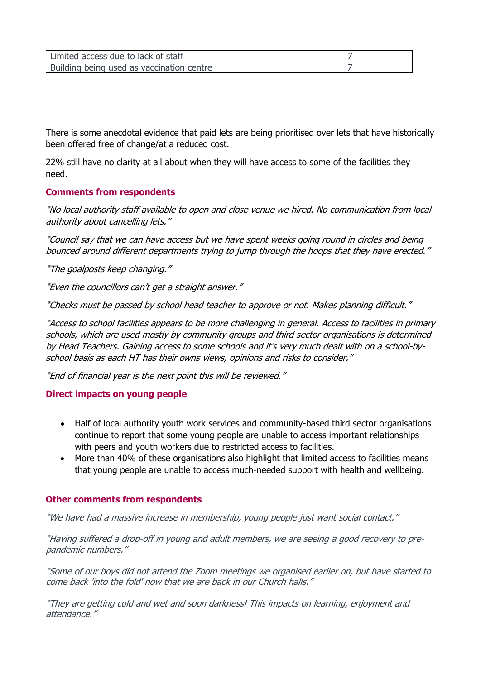| Limited access due to lack of staff       |  |
|-------------------------------------------|--|
| Building being used as vaccination centre |  |

There is some anecdotal evidence that paid lets are being prioritised over lets that have historically been offered free of change/at a reduced cost.

22% still have no clarity at all about when they will have access to some of the facilities they need.

#### **Comments from respondents**

"No local authority staff available to open and close venue we hired. No communication from local authority about cancelling lets."

"Council say that we can have access but we have spent weeks going round in circles and being bounced around different departments trying to jump through the hoops that they have erected."

"The goalposts keep changing."

"Even the councillors can't get a straight answer."

"Checks must be passed by school head teacher to approve or not. Makes planning difficult."

"Access to school facilities appears to be more challenging in general. Access to facilities in primary schools, which are used mostly by community groups and third sector organisations is determined by Head Teachers. Gaining access to some schools and it's very much dealt with on a school-byschool basis as each HT has their owns views, opinions and risks to consider."

"End of financial year is the next point this will be reviewed."

#### **Direct impacts on young people**

- Half of local authority youth work services and community-based third sector organisations continue to report that some young people are unable to access important relationships with peers and youth workers due to restricted access to facilities.
- More than 40% of these organisations also highlight that limited access to facilities means that young people are unable to access much-needed support with health and wellbeing.

#### **Other comments from respondents**

"We have had a massive increase in membership, young people just want social contact."

"Having suffered a drop-off in young and adult members, we are seeing a good recovery to prepandemic numbers."

"Some of our boys did not attend the Zoom meetings we organised earlier on, but have started to come back 'into the fold' now that we are back in our Church halls."

"They are getting cold and wet and soon darkness! This impacts on learning, enjoyment and attendance."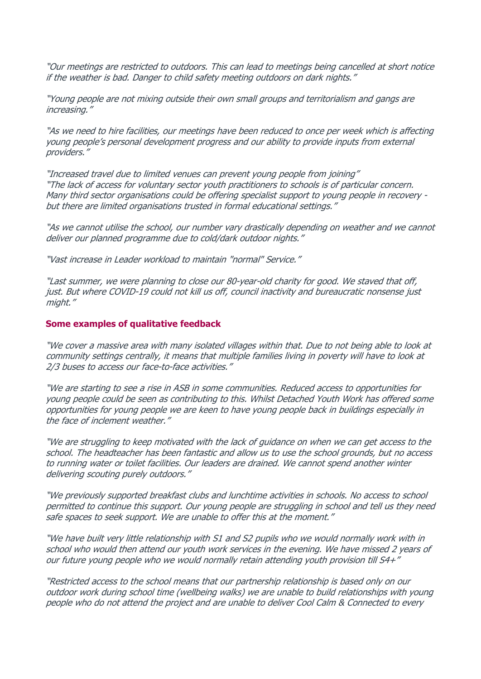"Our meetings are restricted to outdoors. This can lead to meetings being cancelled at short notice if the weather is bad. Danger to child safety meeting outdoors on dark nights."

"Young people are not mixing outside their own small groups and territorialism and gangs are increasing."

"As we need to hire facilities, our meetings have been reduced to once per week which is affecting young people's personal development progress and our ability to provide inputs from external providers."

"Increased travel due to limited venues can prevent young people from joining" "The lack of access for voluntary sector youth practitioners to schools is of particular concern. Many third sector organisations could be offering specialist support to young people in recovery but there are limited organisations trusted in formal educational settings."

"As we cannot utilise the school, our number vary drastically depending on weather and we cannot deliver our planned programme due to cold/dark outdoor nights."

"Vast increase in Leader workload to maintain "normal" Service."

"Last summer, we were planning to close our 80-year-old charity for good. We staved that off, just. But where COVID-19 could not kill us off, council inactivity and bureaucratic nonsense just might."

#### **Some examples of qualitative feedback**

"We cover a massive area with many isolated villages within that. Due to not being able to look at community settings centrally, it means that multiple families living in poverty will have to look at 2/3 buses to access our face-to-face activities."

"We are starting to see a rise in ASB in some communities. Reduced access to opportunities for young people could be seen as contributing to this. Whilst Detached Youth Work has offered some opportunities for young people we are keen to have young people back in buildings especially in the face of inclement weather."

"We are struggling to keep motivated with the lack of guidance on when we can get access to the school. The headteacher has been fantastic and allow us to use the school grounds, but no access to running water or toilet facilities. Our leaders are drained. We cannot spend another winter delivering scouting purely outdoors."

"We previously supported breakfast clubs and lunchtime activities in schools. No access to school permitted to continue this support. Our young people are struggling in school and tell us they need safe spaces to seek support. We are unable to offer this at the moment."

"We have built very little relationship with S1 and S2 pupils who we would normally work with in school who would then attend our youth work services in the evening. We have missed 2 years of our future young people who we would normally retain attending youth provision till S4+"

"Restricted access to the school means that our partnership relationship is based only on our outdoor work during school time (wellbeing walks) we are unable to build relationships with young people who do not attend the project and are unable to deliver Cool Calm & Connected to every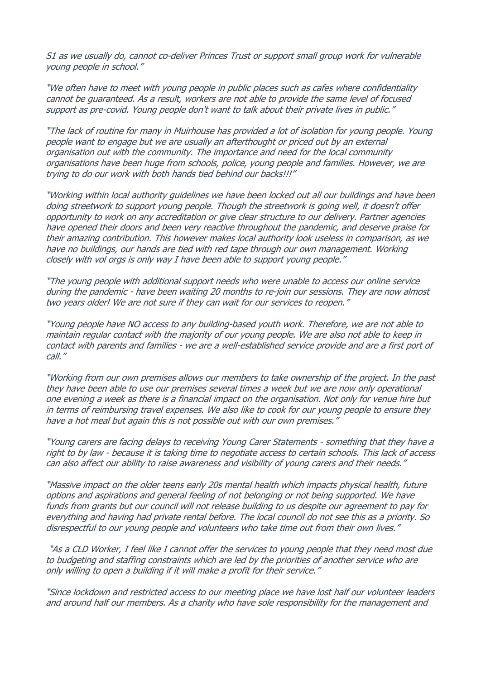S1 as we usually do, cannot co-deliver Princes Trust or support small group work for vulnerable young people in school."

"We often have to meet with young people in public places such as cafes where confidentiality cannot be guaranteed. As a result, workers are not able to provide the same level of focused support as pre-covid. Young people don't want to talk about their private lives in public."

"The lack of routine for many in Muirhouse has provided a lot of isolation for young people. Young people want to engage but we are usually an afterthought or priced out by an external organisation out with the community. The importance and need for the local community organisations have been huge from schools, police, young people and families. However, we are trying to do our work with both hands tied behind our backs!!!"

"Working within local authority guidelines we have been locked out all our buildings and have been doing streetwork to support young people. Though the streetwork is going well, it doesn't offer opportunity to work on any accreditation or give clear structure to our delivery. Partner agencies have opened their doors and been very reactive throughout the pandemic, and deserve praise for their amazing contribution. This however makes local authority look useless in comparison, as we have no buildings, our hands are tied with red tape through our own management. Working closely with vol orgs is only way I have been able to support young people."

"The young people with additional support needs who were unable to access our online service during the pandemic - have been waiting 20 months to re-join our sessions. They are now almost two years older! We are not sure if they can wait for our services to reopen."

"Young people have NO access to any building-based youth work. Therefore, we are not able to maintain regular contact with the majority of our young people. We are also not able to keep in contact with parents and families - we are a well-established service provide and are a first port of call."

"Working from our own premises allows our members to take ownership of the project. In the past they have been able to use our premises several times a week but we are now only operational one evening a week as there is a financial impact on the organisation. Not only for venue hire but in terms of reimbursing travel expenses. We also like to cook for our young people to ensure they have a hot meal but again this is not possible out with our own premises.'

"Young carers are facing delays to receiving Young Carer Statements - something that they have a right to by law - because it is taking time to negotiate access to certain schools. This lack of access can also affect our ability to raise awareness and visibility of young carers and their needs."

"Massive impact on the older teens early 20s mental health which impacts physical health, future options and aspirations and general feeling of not belonging or not being supported. We have funds from grants but our council will not release building to us despite our agreement to pay for everything and having had private rental before. The local council do not see this as a priority. So disrespectful to our young people and volunteers who take time out from their own lives."

 "As a CLD Worker, I feel like I cannot offer the services to young people that they need most due to budgeting and staffing constraints which are led by the priorities of another service who are only willing to open a building if it will make a profit for their service."

"Since lockdown and restricted access to our meeting place we have lost half our volunteer leaders and around half our members. As a charity who have sole responsibility for the management and